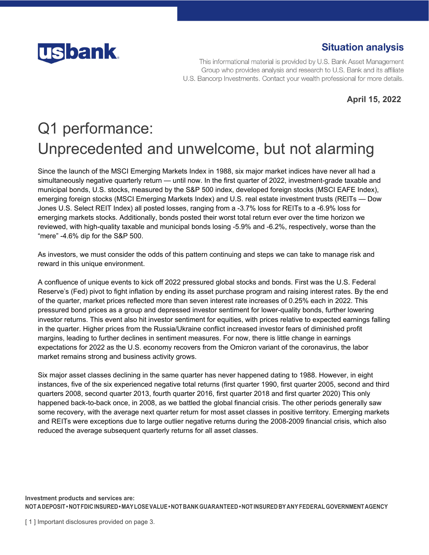

## **Situation analysis**

This informational material is provided by U.S. Bank Asset Management Group who provides analysis and research to U.S. Bank and its affiliate U.S. Bancorp Investments. Contact your wealth professional for more details.

**April 15, 2022** 

## Q1 performance: Unprecedented and unwelcome, but not alarming

Since the launch of the MSCI Emerging Markets Index in 1988, six major market indices have never all had a simultaneously negative quarterly return — until now. In the first quarter of 2022, investment-grade taxable and municipal bonds, U.S. stocks, measured by the S&P 500 index, developed foreign stocks (MSCI EAFE Index), emerging foreign stocks (MSCI Emerging Markets Index) and U.S. real estate investment trusts (REITs — Dow Jones U.S. Select REIT Index) all posted losses, ranging from a -3.7% loss for REITs to a -6.9% loss for emerging markets stocks. Additionally, bonds posted their worst total return ever over the time horizon we reviewed, with high-quality taxable and municipal bonds losing -5.9% and -6.2%, respectively, worse than the "mere" -4.6% dip for the S&P 500.

As investors, we must consider the odds of this pattern continuing and steps we can take to manage risk and reward in this unique environment.

A confluence of unique events to kick off 2022 pressured global stocks and bonds. First was the U.S. Federal Reserve's (Fed) pivot to fight inflation by ending its asset purchase program and raising interest rates. By the end of the quarter, market prices reflected more than seven interest rate increases of 0.25% each in 2022. This pressured bond prices as a group and depressed investor sentiment for lower-quality bonds, further lowering investor returns. This event also hit investor sentiment for equities, with prices relative to expected earnings falling in the quarter. Higher prices from the Russia/Ukraine conflict increased investor fears of diminished profit margins, leading to further declines in sentiment measures. For now, there is little change in earnings expectations for 2022 as the U.S. economy recovers from the Omicron variant of the coronavirus, the labor market remains strong and business activity grows.

Six major asset classes declining in the same quarter has never happened dating to 1988. However, in eight instances, five of the six experienced negative total returns (first quarter 1990, first quarter 2005, second and third quarters 2008, second quarter 2013, fourth quarter 2016, first quarter 2018 and first quarter 2020) This only happened back-to-back once, in 2008, as we battled the global financial crisis. The other periods generally saw some recovery, with the average next quarter return for most asset classes in positive territory. Emerging markets and REITs were exceptions due to large outlier negative returns during the 2008-2009 financial crisis, which also reduced the average subsequent quarterly returns for all asset classes.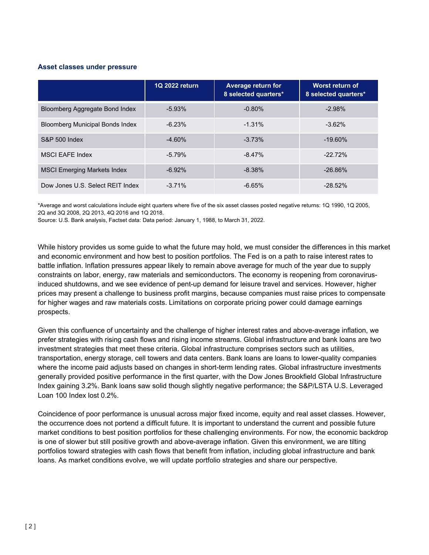## **Asset classes under pressure**

|                                        | 1Q 2022 return | Average return for<br>8 selected quarters* | Worst return of<br>8 selected quarters* |
|----------------------------------------|----------------|--------------------------------------------|-----------------------------------------|
| Bloomberg Aggregate Bond Index         | $-5.93%$       | $-0.80%$                                   | $-2.98%$                                |
| <b>Bloomberg Municipal Bonds Index</b> | $-6.23%$       | $-1.31%$                                   | $-3.62\%$                               |
| <b>S&amp;P 500 Index</b>               | $-4.60%$       | $-3.73%$                                   | $-19.60\%$                              |
| <b>MSCI EAFE Index</b>                 | $-5.79%$       | $-8.47%$                                   | $-22.72%$                               |
| <b>MSCI Emerging Markets Index</b>     | $-6.92%$       | $-8.38%$                                   | $-26.86%$                               |
| Dow Jones U.S. Select REIT Index       | $-3.71%$       | $-6.65%$                                   | $-28.52%$                               |

\*Average and worst calculations include eight quarters where five of the six asset classes posted negative returns: 1Q 1990, 1Q 2005, 2Q and 3Q 2008, 2Q 2013, 4Q 2016 and 1Q 2018.

Source: U.S. Bank analysis, Factset data: Data period: January 1, 1988, to March 31, 2022.

While history provides us some guide to what the future may hold, we must consider the differences in this market and economic environment and how best to position portfolios. The Fed is on a path to raise interest rates to battle inflation. Inflation pressures appear likely to remain above average for much of the year due to supply constraints on labor, energy, raw materials and semiconductors. The economy is reopening from coronavirusinduced shutdowns, and we see evidence of pent-up demand for leisure travel and services. However, higher prices may present a challenge to business profit margins, because companies must raise prices to compensate for higher wages and raw materials costs. Limitations on corporate pricing power could damage earnings prospects.

Given this confluence of uncertainty and the challenge of higher interest rates and above-average inflation, we prefer strategies with rising cash flows and rising income streams. Global infrastructure and bank loans are two investment strategies that meet these criteria. Global infrastructure comprises sectors such as utilities, transportation, energy storage, cell towers and data centers. Bank loans are loans to lower-quality companies where the income paid adjusts based on changes in short-term lending rates. Global infrastructure investments generally provided positive performance in the first quarter, with the Dow Jones Brookfield Global Infrastructure Index gaining 3.2%. Bank loans saw solid though slightly negative performance; the S&P/LSTA U.S. Leveraged Loan 100 Index lost 0.2%.

Coincidence of poor performance is unusual across major fixed income, equity and real asset classes. However, the occurrence does not portend a difficult future. It is important to understand the current and possible future market conditions to best position portfolios for these challenging environments. For now, the economic backdrop is one of slower but still positive growth and above-average inflation. Given this environment, we are tilting portfolios toward strategies with cash flows that benefit from inflation, including global infrastructure and bank loans. As market conditions evolve, we will update portfolio strategies and share our perspective.